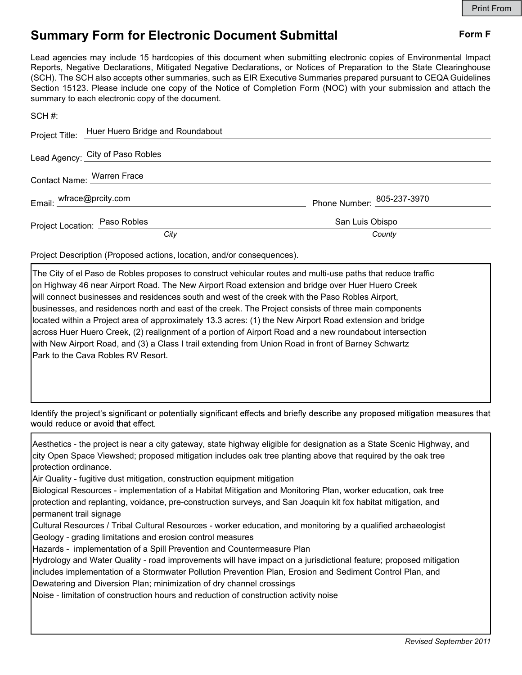## Summary Form for Electronic Document Submittal Form F

Lead agencies may include 15 hardcopies of this document when submitting electronic copies of Environmental Impact Reports, Negative Declarations, Mitigated Negative Declarations, or Notices of Preparation to the State Clearinghouse (SCH). The SCH also accepts other summaries, such as EIR Executive Summaries prepared pursuant to CEQA Guidelines Section 15123. Please include one copy of the Notice of Completion Form (NOC) with your submission and attach the summary to each electronic copy of the document.

|                               | Project Title: Huer Huero Bridge and Roundabout |                            |
|-------------------------------|-------------------------------------------------|----------------------------|
|                               | Lead Agency: City of Paso Robles                |                            |
|                               | Contact Name: Warren Frace                      |                            |
| Email: wfrace@prcity.com      |                                                 | Phone Number: 805-237-3970 |
| Project Location: Paso Robles |                                                 | San Luis Obispo            |
|                               | City                                            | County                     |

Project Description (Proposed actions, location, and/or consequences).

The City of el Paso de Robles proposes to construct vehicular routes and multi-use paths that reduce traffic on Highway 46 near Airport Road. The New Airport Road extension and bridge over Huer Huero Creek will connect businesses and residences south and west of the creek with the Paso Robles Airport, businesses, and residences north and east of the creek. The Project consists of three main components located within a Project area of approximately 13.3 acres: (1) the New Airport Road extension and bridge across Huer Huero Creek, (2) realignment of a portion of Airport Road and a new roundabout intersection with New Airport Road, and (3) a Class I trail extending from Union Road in front of Barney Schwartz Park to the Cava Robles RV Resort.

Identify the project's significant or potentially significant effects and briefly describe any proposed mitigation measures that would reduce or avoid that effect.

Aesthetics - the project is near a city gateway, state highway eligible for designation as a State Scenic Highway, and city Open Space Viewshed; proposed mitigation includes oak tree planting above that required by the oak tree protection ordinance.

Air Quality - fugitive dust mitigation, construction equipment mitigation

Biological Resources - implementation of a Habitat Mitigation and Monitoring Plan, worker education, oak tree protection and replanting, voidance, pre-construction surveys, and San Joaquin kit fox habitat mitigation, and permanent trail signage

Cultural Resources / Tribal Cultural Resources - worker education, and monitoring by a qualified archaeologist Geology - grading limitations and erosion control measures

Hazards - implementation of a Spill Prevention and Countermeasure Plan

Hydrology and Water Quality - road improvements will have impact on a jurisdictional feature; proposed mitigation includes implementation of a Stormwater Pollution Prevention Plan, Erosion and Sediment Control Plan, and Dewatering and Diversion Plan; minimization of dry channel crossings

Noise - limitation of construction hours and reduction of construction activity noise